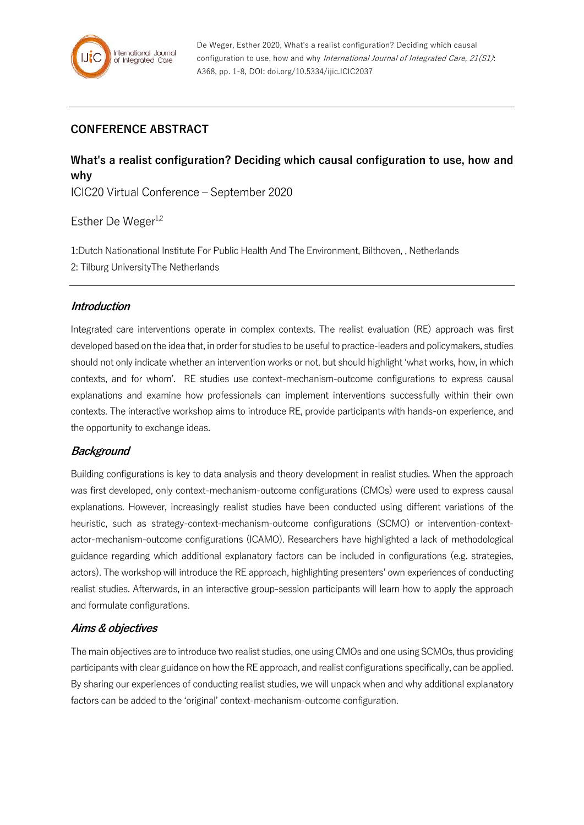

## **CONFERENCE ABSTRACT**

# **What's a realist configuration? Deciding which causal configuration to use, how and why**

ICIC20 Virtual Conference – September 2020

## Esther De Weger<sup>1,2</sup>

1:Dutch Nationational Institute For Public Health And The Environment, Bilthoven, , Netherlands 2: Tilburg UniversityThe Netherlands

### **Introduction**

Integrated care interventions operate in complex contexts. The realist evaluation (RE) approach was first developed based on the idea that, in order for studies to be useful to practice-leaders and policymakers, studies should not only indicate whether an intervention works or not, but should highlight 'what works, how, in which contexts, and for whom'. RE studies use context-mechanism-outcome configurations to express causal explanations and examine how professionals can implement interventions successfully within their own contexts. The interactive workshop aims to introduce RE, provide participants with hands-on experience, and the opportunity to exchange ideas.

## **Background**

Building configurations is key to data analysis and theory development in realist studies. When the approach was first developed, only context-mechanism-outcome configurations (CMOs) were used to express causal explanations. However, increasingly realist studies have been conducted using different variations of the heuristic, such as strategy-context-mechanism-outcome configurations (SCMO) or intervention-contextactor-mechanism-outcome configurations (ICAMO). Researchers have highlighted a lack of methodological guidance regarding which additional explanatory factors can be included in configurations (e.g. strategies, actors). The workshop will introduce the RE approach, highlighting presenters' own experiences of conducting realist studies. Afterwards, in an interactive group-session participants will learn how to apply the approach and formulate configurations.

### **Aims & objectives**

The main objectives are to introduce two realist studies, one using CMOs and one using SCMOs, thus providing participants with clear guidance on how the RE approach, and realist configurations specifically, can be applied. By sharing our experiences of conducting realist studies, we will unpack when and why additional explanatory factors can be added to the 'original' context-mechanism-outcome configuration.